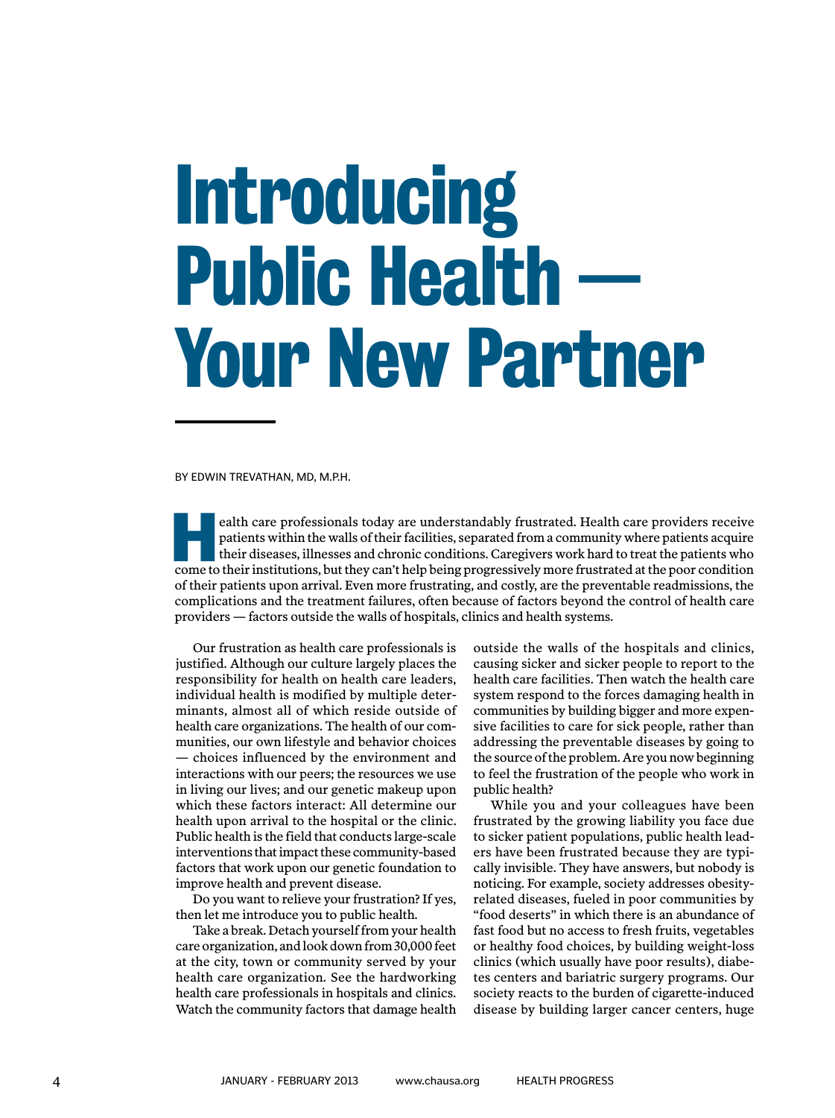## **Introducing Public Health -Your New Partner**

By EDWIN TREVATHAN, MD, M.P.H.

ealth care professionals today are understandably frustrated. Health care providers receive patients within the walls of their facilities, separated from a community where patients acquire their diseases, illnesses and chronic conditions. Caregivers work hard to treat the patients who ealth care professionals today are understandably frustrated. Health care providers receive patients within the walls of their facilities, separated from a community where patients acquire their diseases, illnesses and chr of their patients upon arrival. Even more frustrating, and costly, are the preventable readmissions, the complications and the treatment failures, often because of factors beyond the control of health care providers — factors outside the walls of hospitals, clinics and health systems.

Our frustration as health care professionals is justified. Although our culture largely places the responsibility for health on health care leaders, individual health is modified by multiple determinants, almost all of which reside outside of health care organizations. The health of our communities, our own lifestyle and behavior choices — choices influenced by the environment and interactions with our peers; the resources we use in living our lives; and our genetic makeup upon which these factors interact: All determine our health upon arrival to the hospital or the clinic. Public health is the field that conducts large-scale interventions that impact these community-based factors that work upon our genetic foundation to improve health and prevent disease.

Do you want to relieve your frustration? If yes, then let me introduce you to public health.

Take a break. Detach yourself from your health care organization, and look down from 30,000 feet at the city, town or community served by your health care organization. See the hardworking health care professionals in hospitals and clinics. Watch the community factors that damage health

outside the walls of the hospitals and clinics, causing sicker and sicker people to report to the health care facilities. Then watch the health care system respond to the forces damaging health in communities by building bigger and more expensive facilities to care for sick people, rather than addressing the preventable diseases by going to the source of the problem. Are you now beginning to feel the frustration of the people who work in public health?

While you and your colleagues have been frustrated by the growing liability you face due to sicker patient populations, public health leaders have been frustrated because they are typically invisible. They have answers, but nobody is noticing. For example, society addresses obesityrelated diseases, fueled in poor communities by "food deserts" in which there is an abundance of fast food but no access to fresh fruits, vegetables or healthy food choices, by building weight-loss clinics (which usually have poor results), diabetes centers and bariatric surgery programs. Our society reacts to the burden of cigarette-induced disease by building larger cancer centers, huge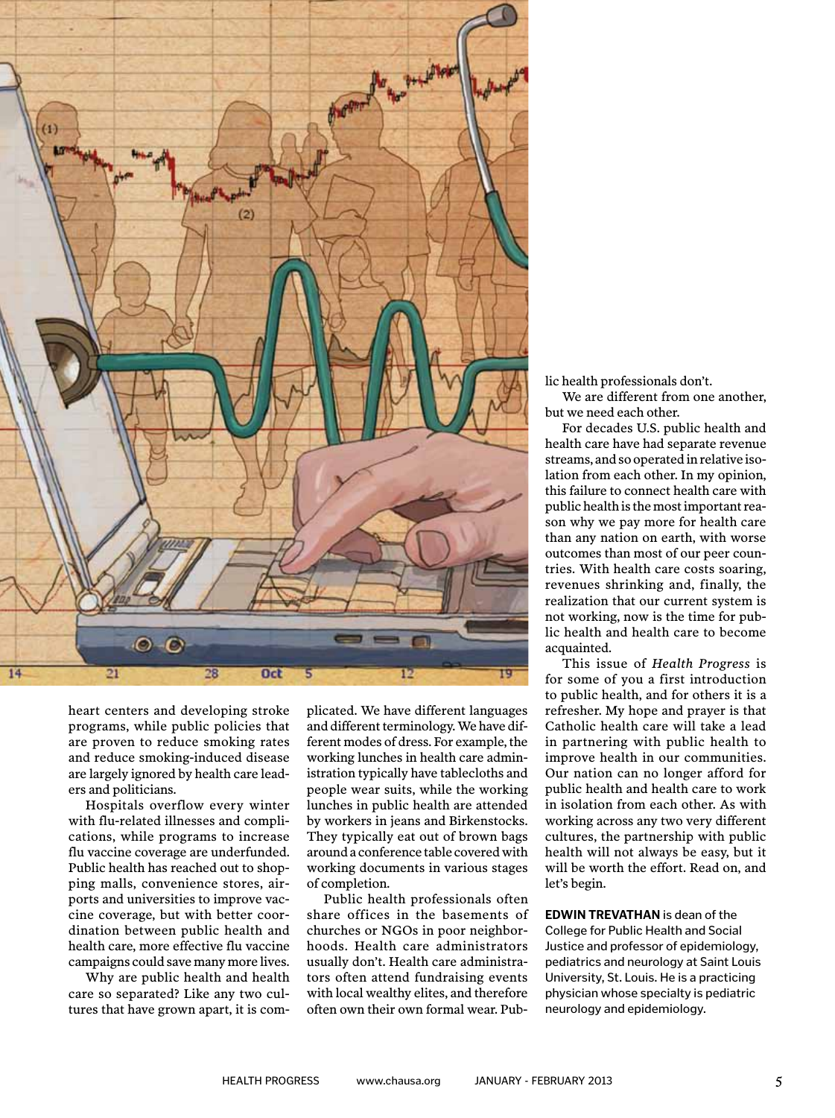

heart centers and developing stroke programs, while public policies that are proven to reduce smoking rates and reduce smoking-induced disease are largely ignored by health care leaders and politicians.

Hospitals overflow every winter with flu-related illnesses and complications, while programs to increase flu vaccine coverage are underfunded. Public health has reached out to shopping malls, convenience stores, airports and universities to improve vaccine coverage, but with better coordination between public health and health care, more effective flu vaccine campaigns could save many more lives.

Why are public health and health care so separated? Like any two cultures that have grown apart, it is complicated. We have different languages and different terminology. We have different modes of dress. For example, the working lunches in health care administration typically have tablecloths and people wear suits, while the working lunches in public health are attended by workers in jeans and Birkenstocks. They typically eat out of brown bags around a conference table covered with working documents in various stages of completion.

Public health professionals often share offices in the basements of churches or NGOs in poor neighborhoods. Health care administrators usually don't. Health care administrators often attend fundraising events with local wealthy elites, and therefore often own their own formal wear. Public health professionals don't.

We are different from one another, but we need each other.

For decades U.S. public health and health care have had separate revenue streams, and so operated in relative isolation from each other. In my opinion, this failure to connect health care with public health is the most important reason why we pay more for health care than any nation on earth, with worse outcomes than most of our peer countries. With health care costs soaring, revenues shrinking and, finally, the realization that our current system is not working, now is the time for public health and health care to become acquainted.

This issue of *Health Progress* is for some of you a first introduction to public health, and for others it is a refresher. My hope and prayer is that Catholic health care will take a lead in partnering with public health to improve health in our communities. Our nation can no longer afford for public health and health care to work in isolation from each other. As with working across any two very different cultures, the partnership with public health will not always be easy, but it will be worth the effort. Read on, and let's begin.

**EDWIN TREVATHAN** is dean of the College for Public Health and Social Justice and professor of epidemiology, pediatrics and neurology at Saint Louis University, St. Louis. He is a practicing physician whose specialty is pediatric neurology and epidemiology.